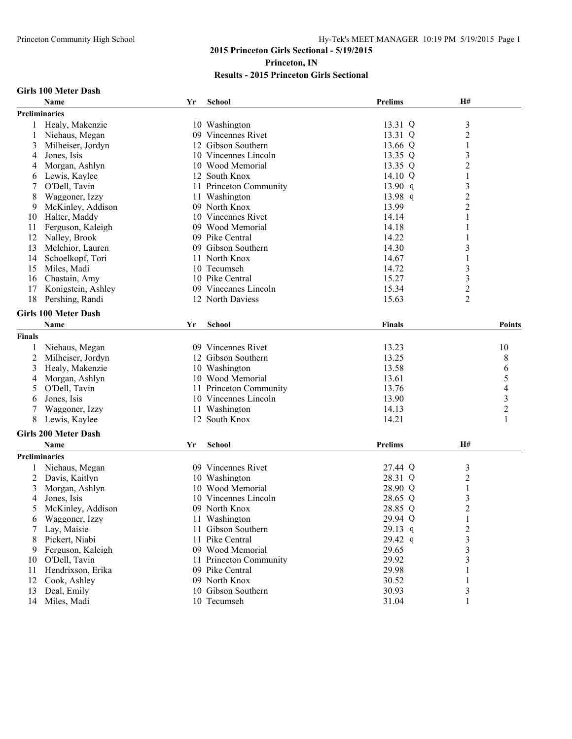# **2015 Princeton Girls Sectional - 5/19/2015 Princeton, IN**

## **Results - 2015 Princeton Girls Sectional**

|  |  | Girls 100 Meter Dash |  |
|--|--|----------------------|--|
|--|--|----------------------|--|

|               | Name                        | Yr | School                 | Prelims   | H#                      |                                            |
|---------------|-----------------------------|----|------------------------|-----------|-------------------------|--------------------------------------------|
|               | Preliminaries               |    |                        |           |                         |                                            |
| 1             | Healy, Makenzie             |    | 10 Washington          | 13.31 Q   | $\mathfrak{Z}$          |                                            |
| 1             | Niehaus, Megan              |    | 09 Vincennes Rivet     | 13.31 Q   | $\overline{\mathbf{c}}$ |                                            |
| 3             | Milheiser, Jordyn           |    | 12 Gibson Southern     | 13.66 Q   | 1                       |                                            |
| 4             | Jones, Isis                 |    | 10 Vincennes Lincoln   | 13.35 Q   | 3                       |                                            |
| 4             | Morgan, Ashlyn              |    | 10 Wood Memorial       | 13.35 Q   | $\overline{c}$          |                                            |
| 6             | Lewis, Kaylee               |    | 12 South Knox          | 14.10 $Q$ | $\mathbf{1}$            |                                            |
| 7             | O'Dell, Tavin               |    | 11 Princeton Community | 13.90 $q$ | 3                       |                                            |
| 8             | Waggoner, Izzy              |    | 11 Washington          | 13.98 q   |                         |                                            |
| 9             | McKinley, Addison           |    | 09 North Knox          | 13.99     | $\frac{2}{2}$           |                                            |
| 10            | Halter, Maddy               |    | 10 Vincennes Rivet     | 14.14     | 1                       |                                            |
| 11            | Ferguson, Kaleigh           |    | 09 Wood Memorial       | 14.18     | 1                       |                                            |
| 12            | Nalley, Brook               |    | 09 Pike Central        | 14.22     | 1                       |                                            |
| 13            | Melchior, Lauren            |    | 09 Gibson Southern     | 14.30     | 3                       |                                            |
| 14            | Schoelkopf, Tori            |    | 11 North Knox          | 14.67     | 1                       |                                            |
| 15            | Miles, Madi                 |    | 10 Tecumseh            | 14.72     | 3                       |                                            |
| 16            | Chastain, Amy               |    | 10 Pike Central        | 15.27     | $\mathfrak{Z}$          |                                            |
| 17            | Konigstein, Ashley          |    | 09 Vincennes Lincoln   | 15.34     | $\overline{c}$          |                                            |
| 18            | Pershing, Randi             |    | 12 North Daviess       | 15.63     | $\overline{2}$          |                                            |
|               |                             |    |                        |           |                         |                                            |
|               | <b>Girls 100 Meter Dash</b> |    |                        |           |                         |                                            |
|               | Name                        | Yr | School                 | Finals    |                         | Points                                     |
| <b>Finals</b> |                             |    |                        |           |                         |                                            |
| 1             | Niehaus, Megan              |    | 09 Vincennes Rivet     | 13.23     |                         | 10                                         |
| 2             | Milheiser, Jordyn           |    | 12 Gibson Southern     | 13.25     |                         | 8                                          |
| 3             | Healy, Makenzie             |    | 10 Washington          | 13.58     |                         | 6                                          |
| 4             | Morgan, Ashlyn              |    | 10 Wood Memorial       | 13.61     |                         | 5                                          |
| 5             | O'Dell, Tavin               |    | 11 Princeton Community | 13.76     |                         |                                            |
| 6             | Jones, Isis                 |    | 10 Vincennes Lincoln   | 13.90     |                         | $\begin{array}{c} 4 \\ 3 \\ 2 \end{array}$ |
| 7             | Waggoner, Izzy              |    | 11 Washington          | 14.13     |                         |                                            |
| 8             | Lewis, Kaylee               |    | 12 South Knox          | 14.21     |                         | $\mathbf{1}$                               |
|               | <b>Girls 200 Meter Dash</b> |    |                        |           |                         |                                            |
|               | Name                        |    |                        | Prelims   | <b>H#</b>               |                                            |
|               |                             | Yr | <b>School</b>          |           |                         |                                            |
|               | Preliminaries               |    |                        |           |                         |                                            |
|               | Niehaus, Megan              |    | 09 Vincennes Rivet     | 27.44 Q   | 3                       |                                            |
| 2             | Davis, Kaitlyn              |    | 10 Washington          | 28.31 Q   | $\overline{c}$          |                                            |
| 3             | Morgan, Ashlyn              |    | 10 Wood Memorial       | 28.90 Q   | 1                       |                                            |
| 4             | Jones, Isis                 |    | 10 Vincennes Lincoln   | 28.65 Q   | 3                       |                                            |
| 5             | McKinley, Addison           |    | 09 North Knox          | 28.85 Q   | $\overline{c}$          |                                            |
| 6             | Waggoner, Izzy              |    | 11 Washington          | 29.94 Q   | 1                       |                                            |
| 7             | Lay, Maisie                 |    | 11 Gibson Southern     | $29.13$ q | $\overline{c}$          |                                            |
| 8             | Pickert, Niabi              |    | 11 Pike Central        | $29.42$ q | 3                       |                                            |
| 9             | Ferguson, Kaleigh           |    | 09 Wood Memorial       | 29.65     | 3                       |                                            |
| 10            | O'Dell, Tavin               |    | 11 Princeton Community | 29.92     | 3                       |                                            |
| 11            | Hendrixson, Erika           |    | 09 Pike Central        | 29.98     |                         |                                            |
| 12            | Cook, Ashley                |    | 09 North Knox          | 30.52     | 1                       |                                            |
| 13            | Deal, Emily                 |    | 10 Gibson Southern     | 30.93     | 3                       |                                            |
| 14            | Miles, Madi                 |    | 10 Tecumseh            | 31.04     | 1                       |                                            |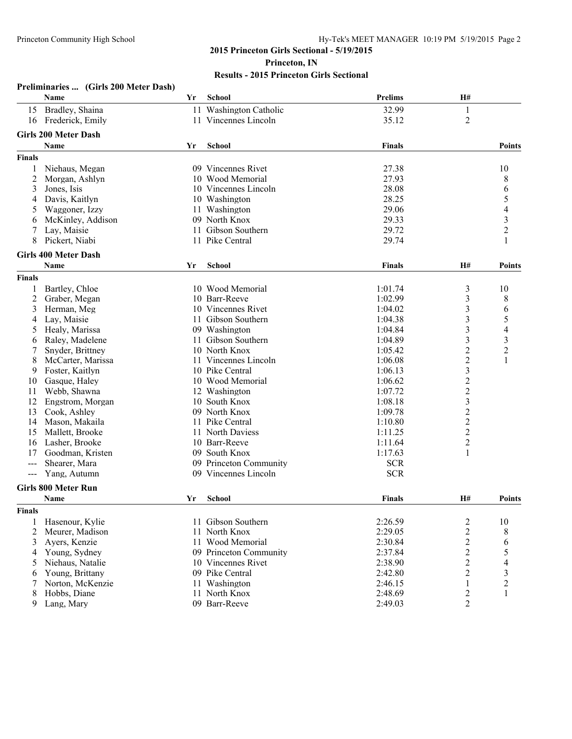|                                          | Preliminaries  (Girls 200 Meter Dash) |    |                        |                |                         |                         |
|------------------------------------------|---------------------------------------|----|------------------------|----------------|-------------------------|-------------------------|
|                                          | Name                                  | Yr | School                 | <b>Prelims</b> | H#                      |                         |
| 15                                       | Bradley, Shaina                       |    | 11 Washington Catholic | 32.99          | 1                       |                         |
|                                          | 16 Frederick, Emily                   |    | 11 Vincennes Lincoln   | 35.12          | $\overline{2}$          |                         |
|                                          | <b>Girls 200 Meter Dash</b>           |    |                        |                |                         |                         |
|                                          | Name                                  | Yr | <b>School</b>          | <b>Finals</b>  |                         | <b>Points</b>           |
| <b>Finals</b>                            |                                       |    |                        |                |                         |                         |
|                                          |                                       |    | 09 Vincennes Rivet     | 27.38          |                         | 10                      |
| 1                                        | Niehaus, Megan                        |    | 10 Wood Memorial       | 27.93          |                         |                         |
| 2<br>3                                   | Morgan, Ashlyn<br>Jones, Isis         |    | 10 Vincennes Lincoln   | 28.08          |                         | 8                       |
| 4                                        | Davis, Kaitlyn                        |    | 10 Washington          | 28.25          |                         | 6<br>5                  |
|                                          | Waggoner, Izzy                        |    | 11 Washington          | 29.06          |                         | $\overline{4}$          |
| 5                                        | McKinley, Addison                     |    | 09 North Knox          | 29.33          |                         | $\overline{\mathbf{3}}$ |
| 6<br>7                                   | Lay, Maisie                           |    | 11 Gibson Southern     | 29.72          |                         | 2                       |
| 8                                        | Pickert, Niabi                        |    | 11 Pike Central        | 29.74          |                         |                         |
|                                          |                                       |    |                        |                |                         |                         |
|                                          | <b>Girls 400 Meter Dash</b>           |    |                        |                |                         |                         |
|                                          | Name                                  | Yr | <b>School</b>          | Finals         | <b>H#</b>               | <b>Points</b>           |
| <b>Finals</b>                            |                                       |    |                        |                |                         |                         |
| 1                                        | Bartley, Chloe                        |    | 10 Wood Memorial       | 1:01.74        | 3                       | 10                      |
| $\overline{c}$                           | Graber, Megan                         |    | 10 Barr-Reeve          | 1:02.99        | $\mathfrak{Z}$          | 8                       |
| 3                                        | Herman, Meg                           |    | 10 Vincennes Rivet     | 1:04.02        | 3                       | 6                       |
| 4                                        | Lay, Maisie                           |    | 11 Gibson Southern     | 1:04.38        | 3                       | 5                       |
| 5                                        | Healy, Marissa                        |    | 09 Washington          | 1:04.84        | $\mathfrak{Z}$          | 4                       |
| 6                                        | Raley, Madelene                       |    | 11 Gibson Southern     | 1:04.89        | $\overline{\mathbf{3}}$ | 3                       |
| 7                                        | Snyder, Brittney                      |    | 10 North Knox          | 1:05.42        | $\overline{c}$          | $\overline{c}$          |
| 8                                        | McCarter, Marissa                     |    | 11 Vincennes Lincoln   | 1:06.08        | $\overline{\mathbf{c}}$ | $\mathbf{1}$            |
| 9                                        | Foster, Kaitlyn                       |    | 10 Pike Central        | 1:06.13        | $\overline{\mathbf{3}}$ |                         |
| 10                                       | Gasque, Haley                         |    | 10 Wood Memorial       | 1:06.62        | $\overline{c}$          |                         |
| 11                                       | Webb, Shawna                          |    | 12 Washington          | 1:07.72        | $\overline{c}$          |                         |
| 12                                       | Engstrom, Morgan                      |    | 10 South Knox          | 1:08.18        | $\overline{\mathbf{3}}$ |                         |
| 13                                       | Cook, Ashley                          |    | 09 North Knox          | 1:09.78        | $\overline{c}$          |                         |
| 14                                       | Mason, Makaila                        |    | 11 Pike Central        | 1:10.80        | $\overline{c}$          |                         |
| 15                                       | Mallett, Brooke                       |    | 11 North Daviess       | 1:11.25        | $\overline{c}$          |                         |
| 16                                       | Lasher, Brooke                        |    | 10 Barr-Reeve          | 1:11.64        | $\overline{c}$          |                         |
| 17                                       | Goodman, Kristen                      |    | 09 South Knox          | 1:17.63        | 1                       |                         |
| $---$                                    | Shearer, Mara                         |    | 09 Princeton Community | <b>SCR</b>     |                         |                         |
| $\hspace{0.05cm} \ldots \hspace{0.05cm}$ | Yang, Autumn                          |    | 09 Vincennes Lincoln   | <b>SCR</b>     |                         |                         |
|                                          | <b>Girls 800 Meter Run</b>            |    |                        |                |                         |                         |
|                                          | <b>Name</b>                           |    | Yr School              | <b>Finals</b>  | H#                      | <b>Points</b>           |
| <b>Finals</b>                            |                                       |    |                        |                |                         |                         |
| 1                                        | Hasenour, Kylie                       |    | 11 Gibson Southern     | 2:26.59        | 2                       | 10                      |
| 2                                        | Meurer, Madison                       |    | 11 North Knox          | 2:29.05        | $\overline{c}$          | 8                       |
| 3                                        | Ayers, Kenzie                         |    | 11 Wood Memorial       | 2:30.84        | $\boldsymbol{2}$        | 6                       |
| 4                                        | Young, Sydney                         |    | 09 Princeton Community | 2:37.84        | $\overline{c}$          | 5                       |
| 5                                        | Niehaus, Natalie                      |    | 10 Vincennes Rivet     | 2:38.90        | $\overline{c}$          | 4                       |
| 6                                        | Young, Brittany                       |    | 09 Pike Central        | 2:42.80        | $\overline{2}$          | 3                       |
| 7                                        | Norton, McKenzie                      |    | 11 Washington          | 2:46.15        | 1                       | $\overline{c}$          |
| 8                                        | Hobbs, Diane                          |    | 11 North Knox          | 2:48.69        | 2                       | 1                       |
| 9                                        | Lang, Mary                            |    | 09 Barr-Reeve          | 2:49.03        | 2                       |                         |
|                                          |                                       |    |                        |                |                         |                         |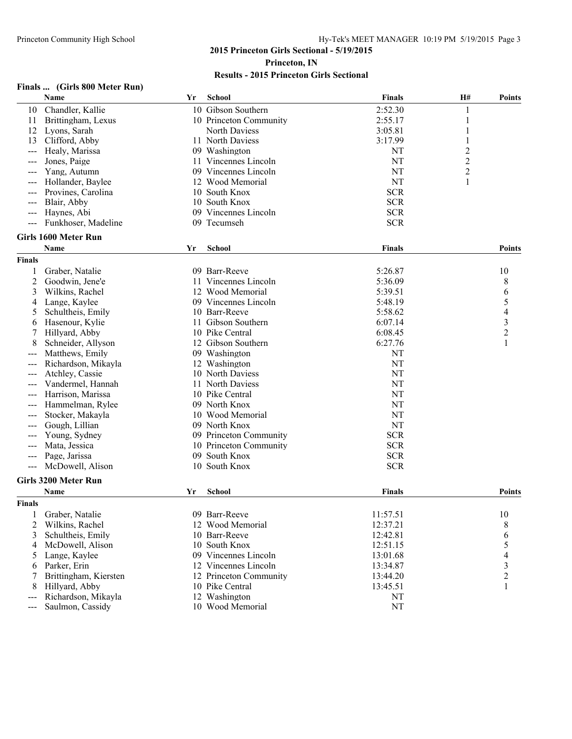| (Girls 800 Meter Run)<br>Finals |  |
|---------------------------------|--|
|---------------------------------|--|

|               | Name                        | Yr | School                                  | <b>Finals</b>   | H#             | <b>Points</b>  |
|---------------|-----------------------------|----|-----------------------------------------|-----------------|----------------|----------------|
| 10            | Chandler, Kallie            |    | 10 Gibson Southern                      | 2:52.30         | 1              |                |
| 11            | Brittingham, Lexus          |    | 10 Princeton Community                  | 2:55.17         | 1              |                |
| 12            | Lyons, Sarah                |    | North Daviess                           | 3:05.81         |                |                |
| 13            | Clifford, Abby              |    | 11 North Daviess                        | 3:17.99         |                |                |
| $---$         | Healy, Marissa              |    | 09 Washington                           | NT              | $\overline{2}$ |                |
| $---$         | Jones, Paige                |    | 11 Vincennes Lincoln                    | NT              | $\overline{c}$ |                |
| $---$         | Yang, Autumn                |    | 09 Vincennes Lincoln                    | NT              | $\mathbf{2}$   |                |
| $---$         | Hollander, Baylee           |    | 12 Wood Memorial                        | <b>NT</b>       | 1              |                |
|               | Provines, Carolina          |    | 10 South Knox                           | <b>SCR</b>      |                |                |
| $---$         | Blair, Abby                 |    | 10 South Knox                           | <b>SCR</b>      |                |                |
| ---           | Haynes, Abi                 |    | 09 Vincennes Lincoln                    | <b>SCR</b>      |                |                |
|               | Funkhoser, Madeline         |    | 09 Tecumseh                             | <b>SCR</b>      |                |                |
|               | <b>Girls 1600 Meter Run</b> |    |                                         |                 |                |                |
|               | Name                        | Yr | <b>School</b>                           | <b>Finals</b>   |                | <b>Points</b>  |
| <b>Finals</b> |                             |    |                                         |                 |                |                |
| 1             | Graber, Natalie             |    | 09 Barr-Reeve                           | 5:26.87         |                | 10             |
| 2             | Goodwin, Jene'e             |    | 11 Vincennes Lincoln                    | 5:36.09         |                | 8              |
| 3             | Wilkins, Rachel             |    | 12 Wood Memorial                        | 5:39.51         |                | 6              |
| 4             | Lange, Kaylee               |    | 09 Vincennes Lincoln                    | 5:48.19         |                | 5              |
| 5             | Schultheis, Emily           |    | 10 Barr-Reeve                           | 5:58.62         |                | 4              |
| 6             | Hasenour, Kylie             |    | 11 Gibson Southern                      | 6:07.14         |                | 3              |
| 7             | Hillyard, Abby              |    | 10 Pike Central                         | 6:08.45         |                | $\overline{c}$ |
| 8             | Schneider, Allyson          |    | 12 Gibson Southern                      | 6:27.76         |                |                |
| ---           | Matthews, Emily             |    | 09 Washington                           | NT              |                |                |
|               | Richardson, Mikayla         |    | 12 Washington                           | <b>NT</b>       |                |                |
|               | Atchley, Cassie             |    | 10 North Daviess                        | <b>NT</b>       |                |                |
|               | Vandermel, Hannah           |    | 11 North Daviess                        | <b>NT</b>       |                |                |
|               | Harrison, Marissa           |    | 10 Pike Central                         | NT              |                |                |
| ---           |                             |    | 09 North Knox                           |                 |                |                |
|               | Hammelman, Rylee            |    |                                         | NT<br><b>NT</b> |                |                |
|               | Stocker, Makayla            |    | 10 Wood Memorial<br>09 North Knox       | <b>NT</b>       |                |                |
|               | Gough, Lillian              |    |                                         | <b>SCR</b>      |                |                |
|               | Young, Sydney               |    | 09 Princeton Community                  | <b>SCR</b>      |                |                |
|               | Mata, Jessica               |    | 10 Princeton Community<br>09 South Knox |                 |                |                |
| $---$         | Page, Jarissa               |    |                                         | <b>SCR</b>      |                |                |
| $---$         | McDowell, Alison            |    | 10 South Knox                           | <b>SCR</b>      |                |                |
|               | <b>Girls 3200 Meter Run</b> |    |                                         |                 |                |                |
|               | Name                        | Yr | <b>School</b>                           | <b>Finals</b>   |                | <b>Points</b>  |
| <b>Finals</b> |                             |    |                                         |                 |                |                |
|               | 1 Graber, Natalie           |    | 09 Barr-Reeve                           | 11:57.51        |                | $10\,$         |
| 2             | Wilkins, Rachel             |    | 12 Wood Memorial                        | 12:37.21        |                | 8              |
| 3             | Schultheis, Emily           |    | 10 Barr-Reeve                           | 12:42.81        |                | 6              |
| 4             | McDowell, Alison            |    | 10 South Knox                           | 12:51.15        |                | 5              |
| 5             | Lange, Kaylee               |    | 09 Vincennes Lincoln                    | 13:01.68        |                | 4              |
| 6             | Parker, Erin                |    | 12 Vincennes Lincoln                    | 13:34.87        |                | 3              |
| 7             | Brittingham, Kiersten       |    | 12 Princeton Community                  | 13:44.20        |                | $\overline{c}$ |
| 8             | Hillyard, Abby              |    | 10 Pike Central                         | 13:45.51        |                | 1              |
|               | Richardson, Mikayla         |    | 12 Washington                           | <b>NT</b>       |                |                |
| ---           | Saulmon, Cassidy            |    | 10 Wood Memorial                        | $\rm{NT}$       |                |                |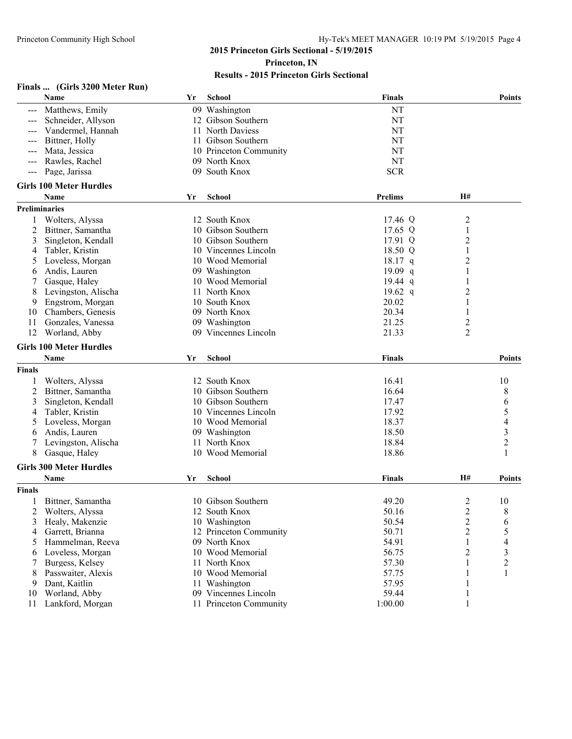#### **Finals ... (Girls 3200 Meter Run)**

|                | Name                              | Yr | <b>School</b>                                  | <b>Finals</b>    |                         | <b>Points</b> |
|----------------|-----------------------------------|----|------------------------------------------------|------------------|-------------------------|---------------|
|                | Matthews, Emily                   |    | 09 Washington                                  | NT               |                         |               |
|                | Schneider, Allyson                |    | 12 Gibson Southern                             | <b>NT</b>        |                         |               |
|                | Vandermel, Hannah                 |    | 11 North Daviess                               | NT               |                         |               |
| ---            | Bittner, Holly                    |    | 11 Gibson Southern                             | NT               |                         |               |
| $---$          | Mata, Jessica                     |    | 10 Princeton Community                         | NT               |                         |               |
| ---            | Rawles, Rachel                    |    | 09 North Knox                                  | <b>NT</b>        |                         |               |
| ---            | Page, Jarissa                     |    | 09 South Knox                                  | <b>SCR</b>       |                         |               |
|                | <b>Girls 100 Meter Hurdles</b>    |    |                                                |                  |                         |               |
|                | Name                              | Yr | <b>School</b>                                  | <b>Prelims</b>   | <b>H#</b>               |               |
|                | Preliminaries                     |    |                                                |                  |                         |               |
|                | Wolters, Alyssa                   |    | 12 South Knox                                  | 17.46 Q          | $\overline{\mathbf{c}}$ |               |
| 2              | Bittner, Samantha                 |    | 10 Gibson Southern                             | 17.65 Q          | 1                       |               |
| 3              | Singleton, Kendall                |    | 10 Gibson Southern                             | 17.91 Q          | 2                       |               |
| 4              | Tabler, Kristin                   |    | 10 Vincennes Lincoln                           | 18.50 Q          | 1                       |               |
|                | Loveless, Morgan                  |    | 10 Wood Memorial                               | $18.17$ q        | 2                       |               |
| 6              | Andis, Lauren                     |    | 09 Washington                                  | $19.09$ q        | 1                       |               |
|                | Gasque, Haley                     |    | 10 Wood Memorial                               | 19.44 $q$        |                         |               |
| 8              | Levingston, Alischa               |    | 11 North Knox                                  | 19.62 $q$        | 2                       |               |
| 9              | Engstrom, Morgan                  |    | 10 South Knox                                  | 20.02            | 1                       |               |
| 10             | Chambers, Genesis                 |    | 09 North Knox                                  | 20.34            | 1                       |               |
| 11             | Gonzales, Vanessa                 |    | 09 Washington                                  | 21.25            | 2                       |               |
| 12             | Worland, Abby                     |    | 09 Vincennes Lincoln                           | 21.33            | $\overline{2}$          |               |
|                |                                   |    |                                                |                  |                         |               |
|                | <b>Girls 100 Meter Hurdles</b>    |    |                                                |                  |                         |               |
|                | Name                              | Yr | <b>School</b>                                  | <b>Finals</b>    |                         | <b>Points</b> |
| <b>Finals</b>  |                                   |    |                                                |                  |                         |               |
| 1              | Wolters, Alyssa                   |    | 12 South Knox                                  | 16.41            |                         | 10            |
| 2              | Bittner, Samantha                 |    | 10 Gibson Southern                             | 16.64            |                         | 8             |
| 3              | Singleton, Kendall                |    | 10 Gibson Southern                             | 17.47            |                         | 6             |
| 4              | Tabler, Kristin                   |    | 10 Vincennes Lincoln                           | 17.92            |                         | 5             |
| 5              | Loveless, Morgan                  |    | 10 Wood Memorial                               | 18.37            |                         | 4             |
| 6              | Andis, Lauren                     |    | 09 Washington                                  | 18.50            |                         | 3             |
|                | Levingston, Alischa               |    | 11 North Knox                                  | 18.84            |                         | 2             |
| 8              | Gasque, Haley                     |    | 10 Wood Memorial                               | 18.86            |                         |               |
|                | <b>Girls 300 Meter Hurdles</b>    |    |                                                |                  |                         |               |
|                | Name                              | Yr | <b>School</b>                                  | <b>Finals</b>    | <b>H#</b>               | <b>Points</b> |
| <b>Finals</b>  |                                   |    |                                                |                  |                         |               |
|                | Bittner, Samantha                 |    | 10 Gibson Southern                             | 49.20            | 2                       | 10            |
| $\overline{2}$ | Wolters, Alyssa                   |    | 12 South Knox                                  | 50.16            | $\overline{c}$          | 8             |
| 3              | Healy, Makenzie                   |    | 10 Washington                                  | 50.54            | $\overline{c}$          | 6             |
| 4              | Garrett, Brianna                  |    | 12 Princeton Community                         | 50.71            | $\overline{2}$          | 5             |
| 5              | Hammelman, Reeva                  |    | 09 North Knox                                  | 54.91            | 1                       | 4             |
| 6              | Loveless, Morgan                  |    | 10 Wood Memorial                               | 56.75            | 2                       | 3             |
|                | Burgess, Kelsey                   |    | 11 North Knox                                  | 57.30            | 1                       | 2             |
| 8              | Passwaiter, Alexis                |    | 10 Wood Memorial                               | 57.75            |                         | 1             |
| 9              | Dant, Kaitlin                     |    | 11 Washington                                  | 57.95            |                         |               |
| 10             |                                   |    |                                                |                  |                         |               |
|                |                                   |    |                                                |                  |                         |               |
| 11             | Worland, Abby<br>Lankford, Morgan |    | 09 Vincennes Lincoln<br>11 Princeton Community | 59.44<br>1:00.00 | 1<br>1                  |               |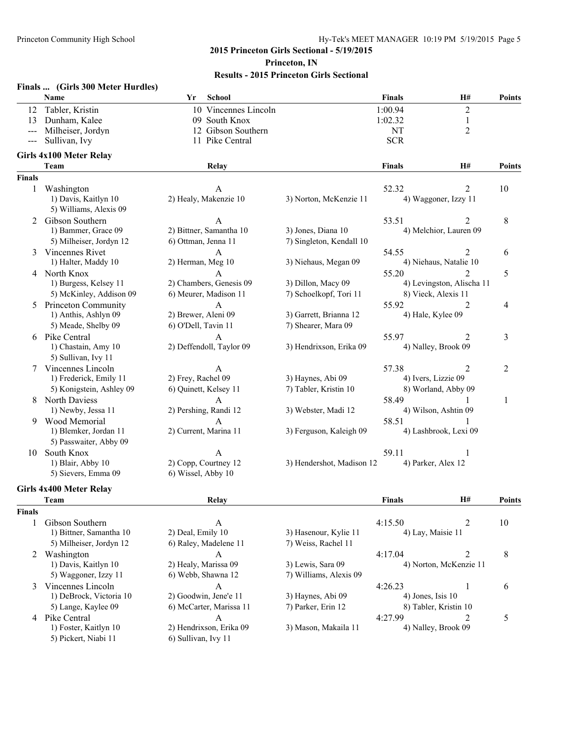|                 | Finals  (Girls 300 Meter Hurdles) |                       |                          |                           |                     |                           |               |
|-----------------|-----------------------------------|-----------------------|--------------------------|---------------------------|---------------------|---------------------------|---------------|
|                 | Name                              | Yr                    | <b>School</b>            |                           | <b>Finals</b>       | H#                        | <b>Points</b> |
| 12              | Tabler, Kristin                   |                       | 10 Vincennes Lincoln     |                           | 1:00.94             | $\overline{2}$            |               |
| 13              | Dunham, Kalee                     |                       | 09 South Knox            |                           | 1:02.32             | 1                         |               |
|                 | Milheiser, Jordyn                 |                       | 12 Gibson Southern       |                           | <b>NT</b>           | $\overline{2}$            |               |
| $---$           | Sullivan, Ivy                     |                       | 11 Pike Central          |                           | <b>SCR</b>          |                           |               |
|                 | <b>Girls 4x100 Meter Relay</b>    |                       |                          |                           |                     |                           |               |
|                 | Team                              |                       | Relay                    |                           | <b>Finals</b>       | H#                        | Points        |
| <b>Finals</b>   |                                   |                       |                          |                           |                     |                           |               |
| 1               | Washington                        |                       | A                        |                           | 52.32               | 2                         | 10            |
|                 | 1) Davis, Kaitlyn 10              |                       | 2) Healy, Makenzie 10    | 3) Norton, McKenzie 11    |                     | 4) Waggoner, Izzy 11      |               |
|                 | 5) Williams, Alexis 09            |                       |                          |                           |                     |                           |               |
| 2               | Gibson Southern                   |                       | $\mathsf{A}$             |                           | 53.51               | $\overline{2}$            | 8             |
|                 | 1) Bammer, Grace 09               |                       | 2) Bittner, Samantha 10  | 3) Jones, Diana 10        |                     | 4) Melchior, Lauren 09    |               |
|                 | 5) Milheiser, Jordyn 12           | 6) Ottman, Jenna 11   |                          | 7) Singleton, Kendall 10  |                     |                           |               |
|                 | 3 Vincennes Rivet                 |                       | A                        |                           | 54.55               | 2                         | 6             |
|                 | 1) Halter, Maddy 10               | 2) Herman, Meg 10     |                          | 3) Niehaus, Megan 09      |                     | 4) Niehaus, Natalie 10    |               |
|                 | 4 North Knox                      |                       | A                        |                           | 55.20               | $\overline{2}$            | 5             |
|                 | 1) Burgess, Kelsey 11             |                       | 2) Chambers, Genesis 09  | 3) Dillon, Macy 09        |                     | 4) Levingston, Alischa 11 |               |
|                 | 5) McKinley, Addison 09           |                       | 6) Meurer, Madison 11    | 7) Schoelkopf, Tori 11    | 8) Vieck, Alexis 11 |                           |               |
| 5               | <b>Princeton Community</b>        |                       | A                        |                           | 55.92               | $\overline{2}$            | 4             |
|                 | 1) Anthis, Ashlyn 09              | 2) Brewer, Aleni 09   |                          | 3) Garrett, Brianna 12    | 4) Hale, Kylee 09   |                           |               |
|                 | 5) Meade, Shelby 09               | 6) O'Dell, Tavin 11   |                          | 7) Shearer, Mara 09       |                     |                           |               |
| 6               | Pike Central                      |                       | A                        |                           | 55.97               | 2                         | 3             |
|                 | 1) Chastain, Amy 10               |                       | 2) Deffendoll, Taylor 09 | 3) Hendrixson, Erika 09   | 4) Nalley, Brook 09 |                           |               |
|                 | 5) Sullivan, Ivy 11               |                       |                          |                           |                     |                           |               |
| 7               | Vincennes Lincoln                 |                       | A                        |                           | 57.38               | $\overline{2}$            | 2             |
|                 | 1) Frederick, Emily 11            | 2) Frey, Rachel 09    |                          | 3) Haynes, Abi 09         | 4) Ivers, Lizzie 09 |                           |               |
|                 | 5) Konigstein, Ashley 09          | 6) Quinett, Kelsey 11 |                          | 7) Tabler, Kristin 10     |                     | 8) Worland, Abby 09       |               |
| 8               | <b>North Daviess</b>              |                       | A                        |                           | 58.49               |                           | 1             |
|                 | 1) Newby, Jessa 11                | 2) Pershing, Randi 12 |                          | 3) Webster, Madi 12       |                     | 4) Wilson, Ashtin 09      |               |
| 9               | Wood Memorial                     |                       | $\mathbf{A}$             |                           | 58.51               | 1                         |               |
|                 | 1) Blemker, Jordan 11             | 2) Current, Marina 11 |                          | 3) Ferguson, Kaleigh 09   |                     | 4) Lashbrook, Lexi 09     |               |
|                 | 5) Passwaiter, Abby 09            |                       |                          |                           |                     |                           |               |
| 10 <sup>1</sup> | South Knox                        |                       |                          |                           | 59.11               | 1                         |               |
|                 | 1) Blair, Abby 10                 | 2) Copp, Courtney 12  |                          | 3) Hendershot, Madison 12 | 4) Parker, Alex 12  |                           |               |
|                 | 5) Sievers, Emma 09               | 6) Wissel, Abby 10    |                          |                           |                     |                           |               |
|                 | <b>Girls 4x400 Meter Relay</b>    |                       |                          |                           |                     |                           |               |
|                 | Team                              |                       | Relay                    |                           | <b>Finals</b>       | H#                        | <b>Points</b> |

|               | л саш                   | REIAY                   |                        | г шагэ               | 11H                    | т оши |
|---------------|-------------------------|-------------------------|------------------------|----------------------|------------------------|-------|
| <b>Finals</b> |                         |                         |                        |                      |                        |       |
|               | Gibson Southern         | A                       |                        | 4:15.50              |                        | 10    |
|               | 1) Bittner, Samantha 10 | 2) Deal, Emily 10       | 3) Hasenour, Kylie 11  | 4) Lay, Maisie 11    |                        |       |
|               | 5) Milheiser, Jordyn 12 | 6) Raley, Madelene 11   | 7) Weiss, Rachel 11    |                      |                        |       |
|               | Washington              | A                       |                        | 4:17.04              |                        | 8     |
|               | 1) Davis, Kaitlyn 10    | 2) Healy, Marissa 09    | 3) Lewis, Sara 09      |                      | 4) Norton, McKenzie 11 |       |
|               | 5) Waggoner, Izzy 11    | 6) Webb, Shawna 12      | 7) Williams, Alexis 09 |                      |                        |       |
| $\mathcal{E}$ | Vincennes Lincoln       | A                       |                        | 4:26.23              |                        | 6     |
|               | 1) DeBrock, Victoria 10 | 2) Goodwin, Jene'e 11   | 3) Haynes, Abi 09      | $(4)$ Jones, Isis 10 |                        |       |
|               | 5) Lange, Kaylee 09     | 6) McCarter, Marissa 11 | 7) Parker, Erin 12     |                      | 8) Tabler, Kristin 10  |       |
| 4             | Pike Central            | A                       |                        | 4:27.99              |                        |       |
|               | 1) Foster, Kaitlyn 10   | 2) Hendrixson, Erika 09 | 3) Mason, Makaila 11   |                      | 4) Nalley, Brook 09    |       |
|               | 5) Pickert, Niabi 11    | 6) Sullivan, Ivy 11     |                        |                      |                        |       |
|               |                         |                         |                        |                      |                        |       |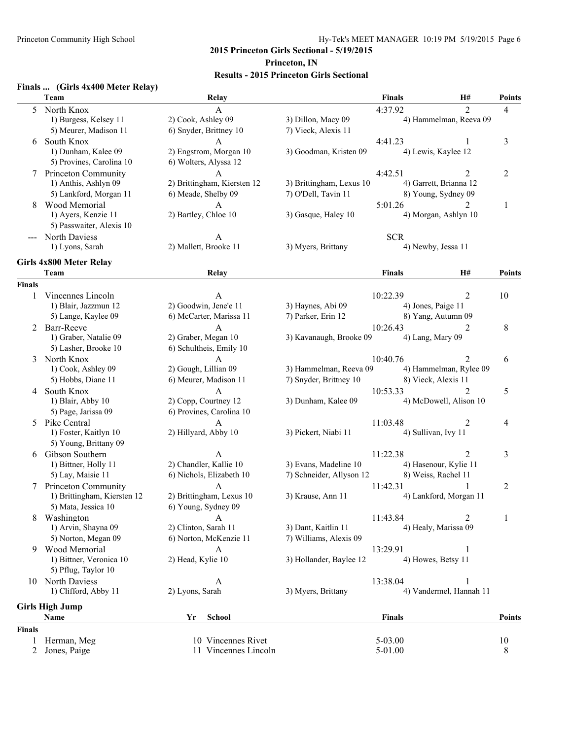#### **Finals ... (Girls 4x400 Meter Relay)**

|               | Team                        | Relay                       |                          | <b>Finals</b>        | H#                      | <b>Points</b>  |
|---------------|-----------------------------|-----------------------------|--------------------------|----------------------|-------------------------|----------------|
| 5             | North Knox                  | A                           |                          | 4:37.92              | $\mathfrak{D}$          | $\overline{4}$ |
|               | 1) Burgess, Kelsey 11       | 2) Cook, Ashley 09          | 3) Dillon, Macy 09       |                      | 4) Hammelman, Reeva 09  |                |
|               | 5) Meurer, Madison 11       | 6) Snyder, Brittney 10      | 7) Vieck, Alexis 11      |                      |                         |                |
| 6             | South Knox                  |                             |                          | 4:41.23              |                         | 3              |
|               | 1) Dunham, Kalee 09         | 2) Engstrom, Morgan 10      | 3) Goodman, Kristen 09   | 4) Lewis, Kaylee 12  |                         |                |
|               | 5) Provines, Carolina 10    | 6) Wolters, Alyssa 12       |                          |                      |                         |                |
| 7             | <b>Princeton Community</b>  | $\mathsf{A}$                |                          | 4:42.51              | 2                       | 2              |
|               | 1) Anthis, Ashlyn 09        | 2) Brittingham, Kiersten 12 | 3) Brittingham, Lexus 10 |                      | 4) Garrett, Brianna 12  |                |
|               | 5) Lankford, Morgan 11      | 6) Meade, Shelby 09         | 7) O'Dell, Tavin 11      | 8) Young, Sydney 09  |                         |                |
| 8             | Wood Memorial               | A                           |                          | 5:01.26              | $\mathfrak{D}$          | 1              |
|               | 1) Ayers, Kenzie 11         | 2) Bartley, Chloe 10        | 3) Gasque, Haley 10      |                      | 4) Morgan, Ashlyn 10    |                |
|               | 5) Passwaiter, Alexis 10    |                             |                          |                      |                         |                |
|               | <b>North Daviess</b>        | A                           |                          | <b>SCR</b>           |                         |                |
|               | 1) Lyons, Sarah             | 2) Mallett, Brooke 11       | 3) Myers, Brittany       | 4) Newby, Jessa 11   |                         |                |
|               | Girls 4x800 Meter Relay     |                             |                          |                      |                         |                |
|               | Team                        | Relay                       |                          | <b>Finals</b>        | H#                      | <b>Points</b>  |
| <b>Finals</b> |                             |                             |                          |                      |                         |                |
| 1             | Vincennes Lincoln           | A                           |                          | 10:22.39             | 2                       | 10             |
|               | 1) Blair, Jazzmun 12        | 2) Goodwin, Jene'e 11       | 3) Haynes, Abi 09        | 4) Jones, Paige 11   |                         |                |
|               | 5) Lange, Kaylee 09         | 6) McCarter, Marissa 11     | 7) Parker, Erin 12       | 8) Yang, Autumn 09   |                         |                |
|               | 2 Barr-Reeve                | A                           |                          | 10:26.43             | 2                       | 8              |
|               | 1) Graber, Natalie 09       | 2) Graber, Megan 10         | 3) Kavanaugh, Brooke 09  | 4) Lang, Mary 09     |                         |                |
|               | 5) Lasher, Brooke 10        | 6) Schultheis, Emily 10     |                          |                      |                         |                |
| 3             | North Knox                  | $\mathbf{A}$                |                          | 10:40.76             |                         | 6              |
|               | 1) Cook, Ashley 09          | 2) Gough, Lillian 09        | 3) Hammelman, Reeva 09   |                      | 4) Hammelman, Rylee 09  |                |
|               | 5) Hobbs, Diane 11          | 6) Meurer, Madison 11       | 7) Snyder, Brittney 10   | 8) Vieck, Alexis 11  |                         |                |
| 4             | South Knox                  | A                           |                          | 10:53.33             | 2                       | 5              |
|               | 1) Blair, Abby 10           | 2) Copp, Courtney 12        | 3) Dunham, Kalee 09      |                      | 4) McDowell, Alison 10  |                |
|               | 5) Page, Jarissa 09         | 6) Provines, Carolina 10    |                          |                      |                         |                |
| 5             | Pike Central                |                             |                          | 11:03.48             | 2                       | 4              |
|               | 1) Foster, Kaitlyn 10       | 2) Hillyard, Abby 10        | 3) Pickert, Niabi 11     | 4) Sullivan, Ivy 11  |                         |                |
|               | 5) Young, Brittany 09       |                             |                          |                      |                         |                |
| 6             | Gibson Southern             | A                           |                          | 11:22.38             | 2                       | 3              |
|               | 1) Bittner, Holly 11        | 2) Chandler, Kallie 10      | 3) Evans, Madeline 10    |                      | 4) Hasenour, Kylie 11   |                |
|               | 5) Lay, Maisie 11           | 6) Nichols, Elizabeth 10    | 7) Schneider, Allyson 12 | 8) Weiss, Rachel 11  |                         |                |
| 7             | <b>Princeton Community</b>  | $\mathbf{A}$                |                          | 11:42.31             | 1                       | $\overline{2}$ |
|               | 1) Brittingham, Kiersten 12 | 2) Brittingham, Lexus 10    | 3) Krause, Ann 11        |                      | 4) Lankford, Morgan 11  |                |
|               | 5) Mata, Jessica 10         | 6) Young, Sydney 09         |                          |                      |                         |                |
|               | Washington                  | A                           |                          | 11:43.84             | 2                       | 1              |
|               | 1) Arvin, Shayna 09         | 2) Clinton, Sarah 11        | 3) Dant, Kaitlin 11      | 4) Healy, Marissa 09 |                         |                |
|               | 5) Norton, Megan 09         | 6) Norton, McKenzie 11      | 7) Williams, Alexis 09   |                      |                         |                |
|               | 9 Wood Memorial             | A                           |                          | 13:29.91             |                         |                |
|               | 1) Bittner, Veronica 10     | 2) Head, Kylie 10           | 3) Hollander, Baylee 12  | 4) Howes, Betsy 11   |                         |                |
|               | 5) Pflug, Taylor 10         |                             |                          |                      |                         |                |
|               | 10 North Daviess            | A                           |                          | 13:38.04             | 1                       |                |
|               | 1) Clifford, Abby 11        | 2) Lyons, Sarah             | 3) Myers, Brittany       |                      | 4) Vandermel, Hannah 11 |                |
|               | <b>Girls High Jump</b>      |                             |                          |                      |                         |                |
|               | Name                        | <b>School</b><br>Yr         |                          | <b>Finals</b>        |                         | <b>Points</b>  |
| <b>Finals</b> |                             |                             |                          |                      |                         |                |
|               | Herman, Meg                 | 10 Vincennes Rivet          |                          | 5-03.00              |                         | 10             |
| 2             | Jones, Paige                | 11 Vincennes Lincoln        |                          | 5-01.00              |                         | 8              |
|               |                             |                             |                          |                      |                         |                |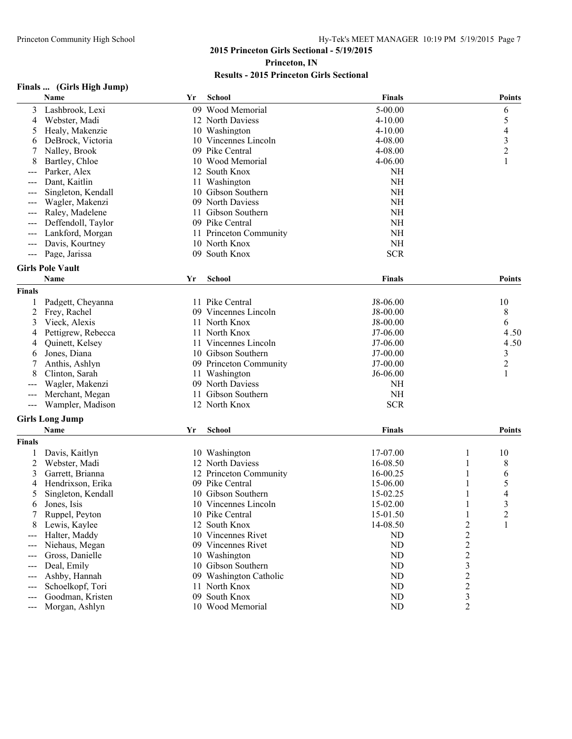|               | Finals  (Girls High Jump) |    |                        |               |                  |                          |
|---------------|---------------------------|----|------------------------|---------------|------------------|--------------------------|
|               | Name                      | Yr | <b>School</b>          | <b>Finals</b> |                  | <b>Points</b>            |
| 3             | Lashbrook, Lexi           | 09 | Wood Memorial          | 5-00.00       |                  | 6                        |
| 4             | Webster, Madi             |    | 12 North Daviess       | 4-10.00       |                  | 5                        |
| 5             | Healy, Makenzie           |    | 10 Washington          | $4 - 10.00$   |                  | $\overline{\mathcal{A}}$ |
| 6             | DeBrock, Victoria         |    | 10 Vincennes Lincoln   | 4-08.00       |                  | $\mathfrak{Z}$           |
| 7             | Nalley, Brook             | 09 | Pike Central           | 4-08.00       |                  | $\overline{c}$           |
| 8             | Bartley, Chloe            |    | 10 Wood Memorial       | 4-06.00       |                  | 1                        |
|               | Parker, Alex              |    | 12 South Knox          | NH            |                  |                          |
|               | Dant, Kaitlin             |    | 11 Washington          | <b>NH</b>     |                  |                          |
| ---           | Singleton, Kendall        |    | 10 Gibson Southern     | <b>NH</b>     |                  |                          |
| ---           | Wagler, Makenzi           |    | 09 North Daviess       | <b>NH</b>     |                  |                          |
| ---           | Raley, Madelene           |    | 11 Gibson Southern     | <b>NH</b>     |                  |                          |
|               | Deffendoll, Taylor        |    | 09 Pike Central        | <b>NH</b>     |                  |                          |
|               | Lankford, Morgan          |    | 11 Princeton Community | <b>NH</b>     |                  |                          |
|               | Davis, Kourtney           |    | 10 North Knox          | $NH$          |                  |                          |
| ---           | Page, Jarissa             |    | 09 South Knox          | <b>SCR</b>    |                  |                          |
|               | <b>Girls Pole Vault</b>   |    |                        |               |                  |                          |
|               | Name                      | Yr | School                 | <b>Finals</b> |                  | <b>Points</b>            |
| <b>Finals</b> |                           |    |                        |               |                  |                          |
| 1             | Padgett, Cheyanna         |    | 11 Pike Central        | J8-06.00      |                  | 10                       |
| 2             | Frey, Rachel              |    | 09 Vincennes Lincoln   | J8-00.00      |                  | 8                        |
| 3             | Vieck, Alexis             |    | 11 North Knox          | J8-00.00      |                  | 6                        |
| 4             | Pettigrew, Rebecca        |    | 11 North Knox          | J7-06.00      |                  | 4.50                     |
| 4             | Quinett, Kelsey           | 11 | Vincennes Lincoln      | J7-06.00      |                  | 4.50                     |
| 6             | Jones, Diana              |    | 10 Gibson Southern     | J7-00.00      |                  | 3                        |
| 7             | Anthis, Ashlyn            |    | 09 Princeton Community | J7-00.00      |                  | $\overline{c}$           |
| 8             | Clinton, Sarah            | 11 | Washington             | J6-06.00      |                  | 1                        |
|               | Wagler, Makenzi           |    | 09 North Daviess       | NH            |                  |                          |
|               | Merchant, Megan           | 11 | Gibson Southern        | <b>NH</b>     |                  |                          |
| ---           | Wampler, Madison          |    | 12 North Knox          | <b>SCR</b>    |                  |                          |
|               |                           |    |                        |               |                  |                          |
|               | <b>Girls Long Jump</b>    |    |                        |               |                  |                          |
|               | Name                      | Yr | School                 | <b>Finals</b> |                  | Points                   |
| <b>Finals</b> |                           |    |                        |               |                  |                          |
| 1             | Davis, Kaitlyn            |    | 10 Washington          | 17-07.00      | 1                | 10                       |
| 2             | Webster, Madi             |    | 12 North Daviess       | 16-08.50      |                  | 8                        |
| 3             | Garrett, Brianna          |    | 12 Princeton Community | 16-00.25      |                  | 6                        |
| 4             | Hendrixson, Erika         |    | 09 Pike Central        | 15-06.00      | 1                | 5                        |
| 5             | Singleton, Kendall        |    | 10 Gibson Southern     | 15-02.25      |                  | 4                        |
| 6             | Jones, Isis               |    | 10 Vincennes Lincoln   | 15-02.00      | 1                | 3                        |
| 7             | Ruppel, Peyton            |    | 10 Pike Central        | 15-01.50      | 1                | $\overline{c}$           |
| 8             | Lewis, Kaylee             |    | 12 South Knox          | 14-08.50      | $\overline{c}$   | 1                        |
| $---$         | Halter, Maddy             |    | 10 Vincennes Rivet     | ND            | $\overline{c}$   |                          |
| $---$         | Niehaus, Megan            |    | 09 Vincennes Rivet     | ND            | $\overline{c}$   |                          |
| $---$         | Gross, Danielle           |    | 10 Washington          | ND            | $\boldsymbol{2}$ |                          |
| ---           | Deal, Emily               |    | 10 Gibson Southern     | ND            | 3                |                          |
| ---           | Ashby, Hannah             |    | 09 Washington Catholic | ND            | 2                |                          |
| ---           | Schoelkopf, Tori          |    | 11 North Knox          | ND            | $\overline{c}$   |                          |
| $---$         | Goodman, Kristen          | 09 | South Knox             | ND            | 3                |                          |
| ---           | Morgan, Ashlyn            |    | 10 Wood Memorial       | ND            | 2                |                          |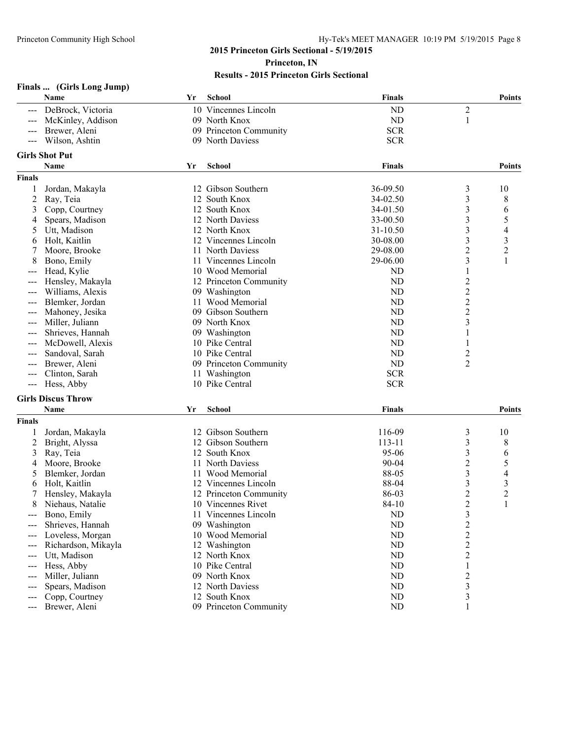| Name<br>School<br><b>Finals</b><br>Yr<br><b>Points</b><br>10 Vincennes Lincoln<br><b>ND</b><br>2<br>DeBrock, Victoria<br>$---$<br>09 North Knox<br><b>ND</b><br>McKinley, Addison<br>1<br><b>SCR</b><br>09 Princeton Community<br>Brewer, Aleni<br><b>SCR</b><br>Wilson, Ashtin<br>09 North Daviess<br>$\qquad \qquad - -$<br><b>Girls Shot Put</b><br>Name<br>Yr<br><b>School</b><br><b>Finals</b><br><b>Finals</b><br>12 Gibson Southern<br>36-09.50<br>1<br>Jordan, Makayla<br>3<br>10<br>3<br>2<br>12 South Knox<br>34-02.50<br>8<br>Ray, Teia<br>12 South Knox<br>3<br>Copp, Courtney<br>34-01.50<br>3<br>6<br>$\mathfrak{Z}$<br>5<br>12 North Daviess<br>Spears, Madison<br>33-00.50<br>4<br>$\mathfrak{Z}$<br>Utt, Madison<br>12 North Knox<br>31-10.50<br>4<br>5<br>3<br>30-08.00<br>3<br>Holt, Kaitlin<br>12 Vincennes Lincoln<br>6<br>$\overline{c}$<br>$\overline{\mathbf{c}}$<br>Moore, Brooke<br>11 North Daviess<br>29-08.00<br>7<br>$\overline{\mathbf{3}}$<br>Bono, Emily<br>11 Vincennes Lincoln<br>29-06.00<br>1<br>8<br>10 Wood Memorial<br>Head, Kylie<br>ND<br>1<br>---<br>$\boldsymbol{2}$<br>12 Princeton Community<br>ND<br>Hensley, Makayla<br>$\overline{c}$<br>09 Washington<br>ND<br>Williams, Alexis<br>---<br>$\boldsymbol{2}$<br><b>ND</b><br>Blemker, Jordan<br>11 Wood Memorial<br>---<br>$\overline{2}$<br>09 Gibson Southern<br>ND<br>Mahoney, Jesika<br>---<br>3<br>Miller, Juliann<br>09 North Knox<br>ND<br>---<br>09 Washington<br>ND<br>Shrieves, Hannah<br>1<br>ND<br>McDowell, Alexis<br>10 Pike Central<br>1<br>10 Pike Central<br>ND<br>$\overline{\mathbf{c}}$<br>Sandoval, Sarah<br>---<br><b>ND</b><br>2<br>Brewer, Aleni<br>09 Princeton Community<br>---<br><b>SCR</b><br>11 Washington<br>Clinton, Sarah<br>---<br>10 Pike Central<br><b>SCR</b><br>Hess, Abby<br>$---$<br><b>Girls Discus Throw</b><br>Name<br><b>Finals</b><br>Yr<br><b>School</b><br><b>Finals</b><br>12 Gibson Southern<br>116-09<br>3<br>10<br>Jordan, Makayla<br>3<br>12 Gibson Southern<br>113-11<br>2<br>Bright, Alyssa<br>8<br>3<br>12 South Knox<br>95-06<br>3<br>Ray, Teia<br>6<br>$\overline{c}$<br>11 North Daviess<br>Moore, Brooke<br>$90 - 04$<br>5<br>4<br>3<br>Blemker, Jordan<br>11 Wood Memorial<br>88-05<br>4<br>5<br>$\mathfrak{Z}$<br>12 Vincennes Lincoln<br>88-04<br>Holt, Kaitlin<br>3<br>6<br>$\overline{2}$<br>$\overline{c}$<br>86-03<br>7<br>12 Princeton Community<br>Hensley, Makayla<br>84-10<br>Niehaus, Natalie<br>10 Vincennes Rivet<br>$\overline{\mathbf{c}}$<br>1<br>8<br>3<br><b>ND</b><br>Bono, Emily<br>Vincennes Lincoln<br>11<br>ND<br>$\overline{c}$<br>Shrieves, Hannah<br>09 Washington<br>---<br>$\overline{\mathbf{c}}$<br>Loveless, Morgan<br>10 Wood Memorial<br>ND<br>---<br>$\overline{c}$<br>12 Washington<br>Richardson, Mikayla<br>ND<br>$\overline{c}$<br>ND<br>Utt, Madison<br>12 North Knox<br>---<br>10 Pike Central<br>Hess, Abby<br>ND<br>1<br>$---$<br>09 North Knox<br>ND<br>$\overline{c}$<br>Miller, Juliann<br>$---$<br>$\mathfrak{Z}$<br>Spears, Madison<br>12 North Daviess<br>ND<br>---<br>$\mathfrak{Z}$<br>12 South Knox<br>Copp, Courtney<br>ND<br>$---$<br>Brewer, Aleni<br>09 Princeton Community<br>ND<br>1<br>$---$ | Finals  (Girls Long Jump) |  |  |               |
|--------------------------------------------------------------------------------------------------------------------------------------------------------------------------------------------------------------------------------------------------------------------------------------------------------------------------------------------------------------------------------------------------------------------------------------------------------------------------------------------------------------------------------------------------------------------------------------------------------------------------------------------------------------------------------------------------------------------------------------------------------------------------------------------------------------------------------------------------------------------------------------------------------------------------------------------------------------------------------------------------------------------------------------------------------------------------------------------------------------------------------------------------------------------------------------------------------------------------------------------------------------------------------------------------------------------------------------------------------------------------------------------------------------------------------------------------------------------------------------------------------------------------------------------------------------------------------------------------------------------------------------------------------------------------------------------------------------------------------------------------------------------------------------------------------------------------------------------------------------------------------------------------------------------------------------------------------------------------------------------------------------------------------------------------------------------------------------------------------------------------------------------------------------------------------------------------------------------------------------------------------------------------------------------------------------------------------------------------------------------------------------------------------------------------------------------------------------------------------------------------------------------------------------------------------------------------------------------------------------------------------------------------------------------------------------------------------------------------------------------------------------------------------------------------------------------------------------------------------------------------------------------------------------------------------------------------------------------------------------------------------------------------------------------------------------------------------------------------------------------------------------------------------------------------------------------------------------------|---------------------------|--|--|---------------|
|                                                                                                                                                                                                                                                                                                                                                                                                                                                                                                                                                                                                                                                                                                                                                                                                                                                                                                                                                                                                                                                                                                                                                                                                                                                                                                                                                                                                                                                                                                                                                                                                                                                                                                                                                                                                                                                                                                                                                                                                                                                                                                                                                                                                                                                                                                                                                                                                                                                                                                                                                                                                                                                                                                                                                                                                                                                                                                                                                                                                                                                                                                                                                                                                                    |                           |  |  |               |
|                                                                                                                                                                                                                                                                                                                                                                                                                                                                                                                                                                                                                                                                                                                                                                                                                                                                                                                                                                                                                                                                                                                                                                                                                                                                                                                                                                                                                                                                                                                                                                                                                                                                                                                                                                                                                                                                                                                                                                                                                                                                                                                                                                                                                                                                                                                                                                                                                                                                                                                                                                                                                                                                                                                                                                                                                                                                                                                                                                                                                                                                                                                                                                                                                    |                           |  |  |               |
|                                                                                                                                                                                                                                                                                                                                                                                                                                                                                                                                                                                                                                                                                                                                                                                                                                                                                                                                                                                                                                                                                                                                                                                                                                                                                                                                                                                                                                                                                                                                                                                                                                                                                                                                                                                                                                                                                                                                                                                                                                                                                                                                                                                                                                                                                                                                                                                                                                                                                                                                                                                                                                                                                                                                                                                                                                                                                                                                                                                                                                                                                                                                                                                                                    |                           |  |  |               |
|                                                                                                                                                                                                                                                                                                                                                                                                                                                                                                                                                                                                                                                                                                                                                                                                                                                                                                                                                                                                                                                                                                                                                                                                                                                                                                                                                                                                                                                                                                                                                                                                                                                                                                                                                                                                                                                                                                                                                                                                                                                                                                                                                                                                                                                                                                                                                                                                                                                                                                                                                                                                                                                                                                                                                                                                                                                                                                                                                                                                                                                                                                                                                                                                                    |                           |  |  |               |
|                                                                                                                                                                                                                                                                                                                                                                                                                                                                                                                                                                                                                                                                                                                                                                                                                                                                                                                                                                                                                                                                                                                                                                                                                                                                                                                                                                                                                                                                                                                                                                                                                                                                                                                                                                                                                                                                                                                                                                                                                                                                                                                                                                                                                                                                                                                                                                                                                                                                                                                                                                                                                                                                                                                                                                                                                                                                                                                                                                                                                                                                                                                                                                                                                    |                           |  |  |               |
|                                                                                                                                                                                                                                                                                                                                                                                                                                                                                                                                                                                                                                                                                                                                                                                                                                                                                                                                                                                                                                                                                                                                                                                                                                                                                                                                                                                                                                                                                                                                                                                                                                                                                                                                                                                                                                                                                                                                                                                                                                                                                                                                                                                                                                                                                                                                                                                                                                                                                                                                                                                                                                                                                                                                                                                                                                                                                                                                                                                                                                                                                                                                                                                                                    |                           |  |  |               |
|                                                                                                                                                                                                                                                                                                                                                                                                                                                                                                                                                                                                                                                                                                                                                                                                                                                                                                                                                                                                                                                                                                                                                                                                                                                                                                                                                                                                                                                                                                                                                                                                                                                                                                                                                                                                                                                                                                                                                                                                                                                                                                                                                                                                                                                                                                                                                                                                                                                                                                                                                                                                                                                                                                                                                                                                                                                                                                                                                                                                                                                                                                                                                                                                                    |                           |  |  | <b>Points</b> |
|                                                                                                                                                                                                                                                                                                                                                                                                                                                                                                                                                                                                                                                                                                                                                                                                                                                                                                                                                                                                                                                                                                                                                                                                                                                                                                                                                                                                                                                                                                                                                                                                                                                                                                                                                                                                                                                                                                                                                                                                                                                                                                                                                                                                                                                                                                                                                                                                                                                                                                                                                                                                                                                                                                                                                                                                                                                                                                                                                                                                                                                                                                                                                                                                                    |                           |  |  |               |
|                                                                                                                                                                                                                                                                                                                                                                                                                                                                                                                                                                                                                                                                                                                                                                                                                                                                                                                                                                                                                                                                                                                                                                                                                                                                                                                                                                                                                                                                                                                                                                                                                                                                                                                                                                                                                                                                                                                                                                                                                                                                                                                                                                                                                                                                                                                                                                                                                                                                                                                                                                                                                                                                                                                                                                                                                                                                                                                                                                                                                                                                                                                                                                                                                    |                           |  |  |               |
|                                                                                                                                                                                                                                                                                                                                                                                                                                                                                                                                                                                                                                                                                                                                                                                                                                                                                                                                                                                                                                                                                                                                                                                                                                                                                                                                                                                                                                                                                                                                                                                                                                                                                                                                                                                                                                                                                                                                                                                                                                                                                                                                                                                                                                                                                                                                                                                                                                                                                                                                                                                                                                                                                                                                                                                                                                                                                                                                                                                                                                                                                                                                                                                                                    |                           |  |  |               |
|                                                                                                                                                                                                                                                                                                                                                                                                                                                                                                                                                                                                                                                                                                                                                                                                                                                                                                                                                                                                                                                                                                                                                                                                                                                                                                                                                                                                                                                                                                                                                                                                                                                                                                                                                                                                                                                                                                                                                                                                                                                                                                                                                                                                                                                                                                                                                                                                                                                                                                                                                                                                                                                                                                                                                                                                                                                                                                                                                                                                                                                                                                                                                                                                                    |                           |  |  |               |
|                                                                                                                                                                                                                                                                                                                                                                                                                                                                                                                                                                                                                                                                                                                                                                                                                                                                                                                                                                                                                                                                                                                                                                                                                                                                                                                                                                                                                                                                                                                                                                                                                                                                                                                                                                                                                                                                                                                                                                                                                                                                                                                                                                                                                                                                                                                                                                                                                                                                                                                                                                                                                                                                                                                                                                                                                                                                                                                                                                                                                                                                                                                                                                                                                    |                           |  |  |               |
|                                                                                                                                                                                                                                                                                                                                                                                                                                                                                                                                                                                                                                                                                                                                                                                                                                                                                                                                                                                                                                                                                                                                                                                                                                                                                                                                                                                                                                                                                                                                                                                                                                                                                                                                                                                                                                                                                                                                                                                                                                                                                                                                                                                                                                                                                                                                                                                                                                                                                                                                                                                                                                                                                                                                                                                                                                                                                                                                                                                                                                                                                                                                                                                                                    |                           |  |  |               |
|                                                                                                                                                                                                                                                                                                                                                                                                                                                                                                                                                                                                                                                                                                                                                                                                                                                                                                                                                                                                                                                                                                                                                                                                                                                                                                                                                                                                                                                                                                                                                                                                                                                                                                                                                                                                                                                                                                                                                                                                                                                                                                                                                                                                                                                                                                                                                                                                                                                                                                                                                                                                                                                                                                                                                                                                                                                                                                                                                                                                                                                                                                                                                                                                                    |                           |  |  |               |
|                                                                                                                                                                                                                                                                                                                                                                                                                                                                                                                                                                                                                                                                                                                                                                                                                                                                                                                                                                                                                                                                                                                                                                                                                                                                                                                                                                                                                                                                                                                                                                                                                                                                                                                                                                                                                                                                                                                                                                                                                                                                                                                                                                                                                                                                                                                                                                                                                                                                                                                                                                                                                                                                                                                                                                                                                                                                                                                                                                                                                                                                                                                                                                                                                    |                           |  |  |               |
|                                                                                                                                                                                                                                                                                                                                                                                                                                                                                                                                                                                                                                                                                                                                                                                                                                                                                                                                                                                                                                                                                                                                                                                                                                                                                                                                                                                                                                                                                                                                                                                                                                                                                                                                                                                                                                                                                                                                                                                                                                                                                                                                                                                                                                                                                                                                                                                                                                                                                                                                                                                                                                                                                                                                                                                                                                                                                                                                                                                                                                                                                                                                                                                                                    |                           |  |  |               |
|                                                                                                                                                                                                                                                                                                                                                                                                                                                                                                                                                                                                                                                                                                                                                                                                                                                                                                                                                                                                                                                                                                                                                                                                                                                                                                                                                                                                                                                                                                                                                                                                                                                                                                                                                                                                                                                                                                                                                                                                                                                                                                                                                                                                                                                                                                                                                                                                                                                                                                                                                                                                                                                                                                                                                                                                                                                                                                                                                                                                                                                                                                                                                                                                                    |                           |  |  |               |
|                                                                                                                                                                                                                                                                                                                                                                                                                                                                                                                                                                                                                                                                                                                                                                                                                                                                                                                                                                                                                                                                                                                                                                                                                                                                                                                                                                                                                                                                                                                                                                                                                                                                                                                                                                                                                                                                                                                                                                                                                                                                                                                                                                                                                                                                                                                                                                                                                                                                                                                                                                                                                                                                                                                                                                                                                                                                                                                                                                                                                                                                                                                                                                                                                    |                           |  |  |               |
|                                                                                                                                                                                                                                                                                                                                                                                                                                                                                                                                                                                                                                                                                                                                                                                                                                                                                                                                                                                                                                                                                                                                                                                                                                                                                                                                                                                                                                                                                                                                                                                                                                                                                                                                                                                                                                                                                                                                                                                                                                                                                                                                                                                                                                                                                                                                                                                                                                                                                                                                                                                                                                                                                                                                                                                                                                                                                                                                                                                                                                                                                                                                                                                                                    |                           |  |  |               |
|                                                                                                                                                                                                                                                                                                                                                                                                                                                                                                                                                                                                                                                                                                                                                                                                                                                                                                                                                                                                                                                                                                                                                                                                                                                                                                                                                                                                                                                                                                                                                                                                                                                                                                                                                                                                                                                                                                                                                                                                                                                                                                                                                                                                                                                                                                                                                                                                                                                                                                                                                                                                                                                                                                                                                                                                                                                                                                                                                                                                                                                                                                                                                                                                                    |                           |  |  |               |
|                                                                                                                                                                                                                                                                                                                                                                                                                                                                                                                                                                                                                                                                                                                                                                                                                                                                                                                                                                                                                                                                                                                                                                                                                                                                                                                                                                                                                                                                                                                                                                                                                                                                                                                                                                                                                                                                                                                                                                                                                                                                                                                                                                                                                                                                                                                                                                                                                                                                                                                                                                                                                                                                                                                                                                                                                                                                                                                                                                                                                                                                                                                                                                                                                    |                           |  |  |               |
|                                                                                                                                                                                                                                                                                                                                                                                                                                                                                                                                                                                                                                                                                                                                                                                                                                                                                                                                                                                                                                                                                                                                                                                                                                                                                                                                                                                                                                                                                                                                                                                                                                                                                                                                                                                                                                                                                                                                                                                                                                                                                                                                                                                                                                                                                                                                                                                                                                                                                                                                                                                                                                                                                                                                                                                                                                                                                                                                                                                                                                                                                                                                                                                                                    |                           |  |  |               |
|                                                                                                                                                                                                                                                                                                                                                                                                                                                                                                                                                                                                                                                                                                                                                                                                                                                                                                                                                                                                                                                                                                                                                                                                                                                                                                                                                                                                                                                                                                                                                                                                                                                                                                                                                                                                                                                                                                                                                                                                                                                                                                                                                                                                                                                                                                                                                                                                                                                                                                                                                                                                                                                                                                                                                                                                                                                                                                                                                                                                                                                                                                                                                                                                                    |                           |  |  |               |
|                                                                                                                                                                                                                                                                                                                                                                                                                                                                                                                                                                                                                                                                                                                                                                                                                                                                                                                                                                                                                                                                                                                                                                                                                                                                                                                                                                                                                                                                                                                                                                                                                                                                                                                                                                                                                                                                                                                                                                                                                                                                                                                                                                                                                                                                                                                                                                                                                                                                                                                                                                                                                                                                                                                                                                                                                                                                                                                                                                                                                                                                                                                                                                                                                    |                           |  |  |               |
|                                                                                                                                                                                                                                                                                                                                                                                                                                                                                                                                                                                                                                                                                                                                                                                                                                                                                                                                                                                                                                                                                                                                                                                                                                                                                                                                                                                                                                                                                                                                                                                                                                                                                                                                                                                                                                                                                                                                                                                                                                                                                                                                                                                                                                                                                                                                                                                                                                                                                                                                                                                                                                                                                                                                                                                                                                                                                                                                                                                                                                                                                                                                                                                                                    |                           |  |  |               |
|                                                                                                                                                                                                                                                                                                                                                                                                                                                                                                                                                                                                                                                                                                                                                                                                                                                                                                                                                                                                                                                                                                                                                                                                                                                                                                                                                                                                                                                                                                                                                                                                                                                                                                                                                                                                                                                                                                                                                                                                                                                                                                                                                                                                                                                                                                                                                                                                                                                                                                                                                                                                                                                                                                                                                                                                                                                                                                                                                                                                                                                                                                                                                                                                                    |                           |  |  |               |
|                                                                                                                                                                                                                                                                                                                                                                                                                                                                                                                                                                                                                                                                                                                                                                                                                                                                                                                                                                                                                                                                                                                                                                                                                                                                                                                                                                                                                                                                                                                                                                                                                                                                                                                                                                                                                                                                                                                                                                                                                                                                                                                                                                                                                                                                                                                                                                                                                                                                                                                                                                                                                                                                                                                                                                                                                                                                                                                                                                                                                                                                                                                                                                                                                    |                           |  |  |               |
|                                                                                                                                                                                                                                                                                                                                                                                                                                                                                                                                                                                                                                                                                                                                                                                                                                                                                                                                                                                                                                                                                                                                                                                                                                                                                                                                                                                                                                                                                                                                                                                                                                                                                                                                                                                                                                                                                                                                                                                                                                                                                                                                                                                                                                                                                                                                                                                                                                                                                                                                                                                                                                                                                                                                                                                                                                                                                                                                                                                                                                                                                                                                                                                                                    |                           |  |  |               |
|                                                                                                                                                                                                                                                                                                                                                                                                                                                                                                                                                                                                                                                                                                                                                                                                                                                                                                                                                                                                                                                                                                                                                                                                                                                                                                                                                                                                                                                                                                                                                                                                                                                                                                                                                                                                                                                                                                                                                                                                                                                                                                                                                                                                                                                                                                                                                                                                                                                                                                                                                                                                                                                                                                                                                                                                                                                                                                                                                                                                                                                                                                                                                                                                                    |                           |  |  |               |
|                                                                                                                                                                                                                                                                                                                                                                                                                                                                                                                                                                                                                                                                                                                                                                                                                                                                                                                                                                                                                                                                                                                                                                                                                                                                                                                                                                                                                                                                                                                                                                                                                                                                                                                                                                                                                                                                                                                                                                                                                                                                                                                                                                                                                                                                                                                                                                                                                                                                                                                                                                                                                                                                                                                                                                                                                                                                                                                                                                                                                                                                                                                                                                                                                    |                           |  |  | <b>Points</b> |
|                                                                                                                                                                                                                                                                                                                                                                                                                                                                                                                                                                                                                                                                                                                                                                                                                                                                                                                                                                                                                                                                                                                                                                                                                                                                                                                                                                                                                                                                                                                                                                                                                                                                                                                                                                                                                                                                                                                                                                                                                                                                                                                                                                                                                                                                                                                                                                                                                                                                                                                                                                                                                                                                                                                                                                                                                                                                                                                                                                                                                                                                                                                                                                                                                    |                           |  |  |               |
|                                                                                                                                                                                                                                                                                                                                                                                                                                                                                                                                                                                                                                                                                                                                                                                                                                                                                                                                                                                                                                                                                                                                                                                                                                                                                                                                                                                                                                                                                                                                                                                                                                                                                                                                                                                                                                                                                                                                                                                                                                                                                                                                                                                                                                                                                                                                                                                                                                                                                                                                                                                                                                                                                                                                                                                                                                                                                                                                                                                                                                                                                                                                                                                                                    |                           |  |  |               |
|                                                                                                                                                                                                                                                                                                                                                                                                                                                                                                                                                                                                                                                                                                                                                                                                                                                                                                                                                                                                                                                                                                                                                                                                                                                                                                                                                                                                                                                                                                                                                                                                                                                                                                                                                                                                                                                                                                                                                                                                                                                                                                                                                                                                                                                                                                                                                                                                                                                                                                                                                                                                                                                                                                                                                                                                                                                                                                                                                                                                                                                                                                                                                                                                                    |                           |  |  |               |
|                                                                                                                                                                                                                                                                                                                                                                                                                                                                                                                                                                                                                                                                                                                                                                                                                                                                                                                                                                                                                                                                                                                                                                                                                                                                                                                                                                                                                                                                                                                                                                                                                                                                                                                                                                                                                                                                                                                                                                                                                                                                                                                                                                                                                                                                                                                                                                                                                                                                                                                                                                                                                                                                                                                                                                                                                                                                                                                                                                                                                                                                                                                                                                                                                    |                           |  |  |               |
|                                                                                                                                                                                                                                                                                                                                                                                                                                                                                                                                                                                                                                                                                                                                                                                                                                                                                                                                                                                                                                                                                                                                                                                                                                                                                                                                                                                                                                                                                                                                                                                                                                                                                                                                                                                                                                                                                                                                                                                                                                                                                                                                                                                                                                                                                                                                                                                                                                                                                                                                                                                                                                                                                                                                                                                                                                                                                                                                                                                                                                                                                                                                                                                                                    |                           |  |  |               |
|                                                                                                                                                                                                                                                                                                                                                                                                                                                                                                                                                                                                                                                                                                                                                                                                                                                                                                                                                                                                                                                                                                                                                                                                                                                                                                                                                                                                                                                                                                                                                                                                                                                                                                                                                                                                                                                                                                                                                                                                                                                                                                                                                                                                                                                                                                                                                                                                                                                                                                                                                                                                                                                                                                                                                                                                                                                                                                                                                                                                                                                                                                                                                                                                                    |                           |  |  |               |
|                                                                                                                                                                                                                                                                                                                                                                                                                                                                                                                                                                                                                                                                                                                                                                                                                                                                                                                                                                                                                                                                                                                                                                                                                                                                                                                                                                                                                                                                                                                                                                                                                                                                                                                                                                                                                                                                                                                                                                                                                                                                                                                                                                                                                                                                                                                                                                                                                                                                                                                                                                                                                                                                                                                                                                                                                                                                                                                                                                                                                                                                                                                                                                                                                    |                           |  |  |               |
|                                                                                                                                                                                                                                                                                                                                                                                                                                                                                                                                                                                                                                                                                                                                                                                                                                                                                                                                                                                                                                                                                                                                                                                                                                                                                                                                                                                                                                                                                                                                                                                                                                                                                                                                                                                                                                                                                                                                                                                                                                                                                                                                                                                                                                                                                                                                                                                                                                                                                                                                                                                                                                                                                                                                                                                                                                                                                                                                                                                                                                                                                                                                                                                                                    |                           |  |  |               |
|                                                                                                                                                                                                                                                                                                                                                                                                                                                                                                                                                                                                                                                                                                                                                                                                                                                                                                                                                                                                                                                                                                                                                                                                                                                                                                                                                                                                                                                                                                                                                                                                                                                                                                                                                                                                                                                                                                                                                                                                                                                                                                                                                                                                                                                                                                                                                                                                                                                                                                                                                                                                                                                                                                                                                                                                                                                                                                                                                                                                                                                                                                                                                                                                                    |                           |  |  |               |
|                                                                                                                                                                                                                                                                                                                                                                                                                                                                                                                                                                                                                                                                                                                                                                                                                                                                                                                                                                                                                                                                                                                                                                                                                                                                                                                                                                                                                                                                                                                                                                                                                                                                                                                                                                                                                                                                                                                                                                                                                                                                                                                                                                                                                                                                                                                                                                                                                                                                                                                                                                                                                                                                                                                                                                                                                                                                                                                                                                                                                                                                                                                                                                                                                    |                           |  |  |               |
|                                                                                                                                                                                                                                                                                                                                                                                                                                                                                                                                                                                                                                                                                                                                                                                                                                                                                                                                                                                                                                                                                                                                                                                                                                                                                                                                                                                                                                                                                                                                                                                                                                                                                                                                                                                                                                                                                                                                                                                                                                                                                                                                                                                                                                                                                                                                                                                                                                                                                                                                                                                                                                                                                                                                                                                                                                                                                                                                                                                                                                                                                                                                                                                                                    |                           |  |  |               |
|                                                                                                                                                                                                                                                                                                                                                                                                                                                                                                                                                                                                                                                                                                                                                                                                                                                                                                                                                                                                                                                                                                                                                                                                                                                                                                                                                                                                                                                                                                                                                                                                                                                                                                                                                                                                                                                                                                                                                                                                                                                                                                                                                                                                                                                                                                                                                                                                                                                                                                                                                                                                                                                                                                                                                                                                                                                                                                                                                                                                                                                                                                                                                                                                                    |                           |  |  |               |
|                                                                                                                                                                                                                                                                                                                                                                                                                                                                                                                                                                                                                                                                                                                                                                                                                                                                                                                                                                                                                                                                                                                                                                                                                                                                                                                                                                                                                                                                                                                                                                                                                                                                                                                                                                                                                                                                                                                                                                                                                                                                                                                                                                                                                                                                                                                                                                                                                                                                                                                                                                                                                                                                                                                                                                                                                                                                                                                                                                                                                                                                                                                                                                                                                    |                           |  |  |               |
|                                                                                                                                                                                                                                                                                                                                                                                                                                                                                                                                                                                                                                                                                                                                                                                                                                                                                                                                                                                                                                                                                                                                                                                                                                                                                                                                                                                                                                                                                                                                                                                                                                                                                                                                                                                                                                                                                                                                                                                                                                                                                                                                                                                                                                                                                                                                                                                                                                                                                                                                                                                                                                                                                                                                                                                                                                                                                                                                                                                                                                                                                                                                                                                                                    |                           |  |  |               |
|                                                                                                                                                                                                                                                                                                                                                                                                                                                                                                                                                                                                                                                                                                                                                                                                                                                                                                                                                                                                                                                                                                                                                                                                                                                                                                                                                                                                                                                                                                                                                                                                                                                                                                                                                                                                                                                                                                                                                                                                                                                                                                                                                                                                                                                                                                                                                                                                                                                                                                                                                                                                                                                                                                                                                                                                                                                                                                                                                                                                                                                                                                                                                                                                                    |                           |  |  |               |
|                                                                                                                                                                                                                                                                                                                                                                                                                                                                                                                                                                                                                                                                                                                                                                                                                                                                                                                                                                                                                                                                                                                                                                                                                                                                                                                                                                                                                                                                                                                                                                                                                                                                                                                                                                                                                                                                                                                                                                                                                                                                                                                                                                                                                                                                                                                                                                                                                                                                                                                                                                                                                                                                                                                                                                                                                                                                                                                                                                                                                                                                                                                                                                                                                    |                           |  |  |               |
|                                                                                                                                                                                                                                                                                                                                                                                                                                                                                                                                                                                                                                                                                                                                                                                                                                                                                                                                                                                                                                                                                                                                                                                                                                                                                                                                                                                                                                                                                                                                                                                                                                                                                                                                                                                                                                                                                                                                                                                                                                                                                                                                                                                                                                                                                                                                                                                                                                                                                                                                                                                                                                                                                                                                                                                                                                                                                                                                                                                                                                                                                                                                                                                                                    |                           |  |  |               |
|                                                                                                                                                                                                                                                                                                                                                                                                                                                                                                                                                                                                                                                                                                                                                                                                                                                                                                                                                                                                                                                                                                                                                                                                                                                                                                                                                                                                                                                                                                                                                                                                                                                                                                                                                                                                                                                                                                                                                                                                                                                                                                                                                                                                                                                                                                                                                                                                                                                                                                                                                                                                                                                                                                                                                                                                                                                                                                                                                                                                                                                                                                                                                                                                                    |                           |  |  |               |
|                                                                                                                                                                                                                                                                                                                                                                                                                                                                                                                                                                                                                                                                                                                                                                                                                                                                                                                                                                                                                                                                                                                                                                                                                                                                                                                                                                                                                                                                                                                                                                                                                                                                                                                                                                                                                                                                                                                                                                                                                                                                                                                                                                                                                                                                                                                                                                                                                                                                                                                                                                                                                                                                                                                                                                                                                                                                                                                                                                                                                                                                                                                                                                                                                    |                           |  |  |               |